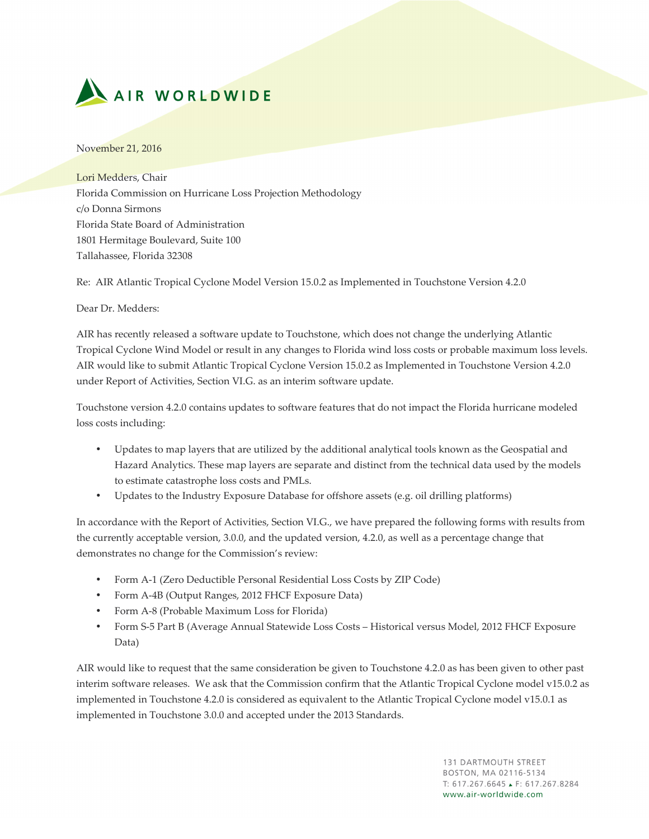

November 21, 2016

Lori Medders, Chair Florida Commission on Hurricane Loss Projection Methodology c/o Donna Sirmons Florida State Board of Administration 1801 Hermitage Boulevard, Suite 100 Tallahassee, Florida 32308

Re: AIR Atlantic Tropical Cyclone Model Version 15.0.2 as Implemented in Touchstone Version 4.2.0

Dear Dr. Medders:

AIR has recently released a software update to Touchstone, which does not change the underlying Atlantic Tropical Cyclone Wind Model or result in any changes to Florida wind loss costs or probable maximum loss levels. AIR would like to submit Atlantic Tropical Cyclone Version 15.0.2 as Implemented in Touchstone Version 4.2.0 under Report of Activities, Section VI.G. as an interim software update.

Touchstone version 4.2.0 contains updates to software features that do not impact the Florida hurricane modeled loss costs including:

- Updates to map layers that are utilized by the additional analytical tools known as the Geospatial and Hazard Analytics. These map layers are separate and distinct from the technical data used by the models to estimate catastrophe loss costs and PMLs.
- Updates to the Industry Exposure Database for offshore assets (e.g. oil drilling platforms)

In accordance with the Report of Activities, Section VI.G., we have prepared the following forms with results from the currently acceptable version, 3.0.0, and the updated version, 4.2.0, as well as a percentage change that demonstrates no change for the Commission's review:

- Form A-1 (Zero Deductible Personal Residential Loss Costs by ZIP Code)
- Form A-4B (Output Ranges, 2012 FHCF Exposure Data)
- Form A-8 (Probable Maximum Loss for Florida)
- Form S-5 Part B (Average Annual Statewide Loss Costs Historical versus Model, 2012 FHCF Exposure Data)

AIR would like to request that the same consideration be given to Touchstone 4.2.0 as has been given to other past interim software releases. We ask that the Commission confirm that the Atlantic Tropical Cyclone model v15.0.2 as implemented in Touchstone 4.2.0 is considered as equivalent to the Atlantic Tropical Cyclone model v15.0.1 as implemented in Touchstone 3.0.0 and accepted under the 2013 Standards.